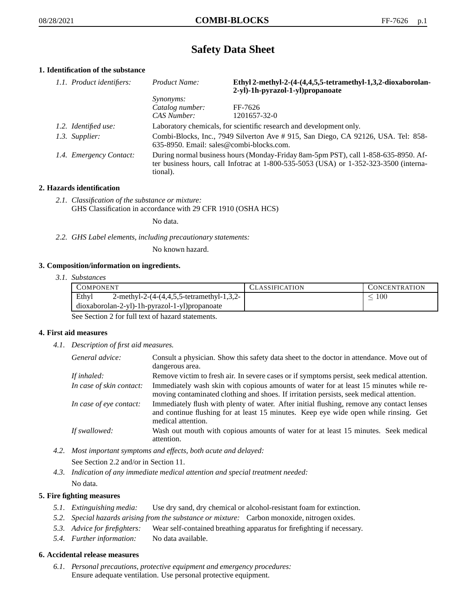# **Safety Data Sheet**

# **1. Identification of the substance**

| 1.1. Product identifiers: | Product Name:                                                                                                                                                                           | Ethyl 2-methyl-2-(4-(4,4,5,5-tetramethyl-1,3,2-dioxaborolan-<br>2-yl)-1h-pyrazol-1-yl)propanoate |
|---------------------------|-----------------------------------------------------------------------------------------------------------------------------------------------------------------------------------------|--------------------------------------------------------------------------------------------------|
|                           | <i>Synonyms:</i>                                                                                                                                                                        |                                                                                                  |
|                           | Catalog number:                                                                                                                                                                         | FF-7626                                                                                          |
|                           | CAS Number:                                                                                                                                                                             | 1201657-32-0                                                                                     |
| 1.2. Identified use:      | Laboratory chemicals, for scientific research and development only.                                                                                                                     |                                                                                                  |
| 1.3. Supplier:            | Combi-Blocks, Inc., 7949 Silverton Ave #915, San Diego, CA 92126, USA. Tel: 858-<br>635-8950. Email: sales@combi-blocks.com.                                                            |                                                                                                  |
| 1.4. Emergency Contact:   | During normal business hours (Monday-Friday 8am-5pm PST), call 1-858-635-8950. Af-<br>ter business hours, call Infotrac at 1-800-535-5053 (USA) or 1-352-323-3500 (interna-<br>tional). |                                                                                                  |

# **2. Hazards identification**

*2.1. Classification of the substance or mixture:* GHS Classification in accordance with 29 CFR 1910 (OSHA HCS)

No data.

*2.2. GHS Label elements, including precautionary statements:*

No known hazard.

## **3. Composition/information on ingredients.**

*3.1. Substances*

| COMPONENT                                                                  | CLASSIFICATION | <b>CONCENTRATION</b> |
|----------------------------------------------------------------------------|----------------|----------------------|
| Ethyl<br>2-methyl-2- $(4-(4,4,5,5-\text{tetramethyl-1},3,2-\text{det}))/2$ |                | I OO                 |
| $dioxaborolan-2-yl)-lh-pyrazol-1-yl)propanoate$                            |                |                      |

See Section 2 for full text of hazard statements.

## **4. First aid measures**

*4.1. Description of first aid measures.*

| General advice:          | Consult a physician. Show this safety data sheet to the doctor in attendance. Move out of<br>dangerous area.                                                                                            |
|--------------------------|---------------------------------------------------------------------------------------------------------------------------------------------------------------------------------------------------------|
| If inhaled:              | Remove victim to fresh air. In severe cases or if symptoms persist, seek medical attention.                                                                                                             |
| In case of skin contact: | Immediately wash skin with copious amounts of water for at least 15 minutes while re-<br>moving contaminated clothing and shoes. If irritation persists, seek medical attention.                        |
| In case of eye contact:  | Immediately flush with plenty of water. After initial flushing, remove any contact lenses<br>and continue flushing for at least 15 minutes. Keep eye wide open while rinsing. Get<br>medical attention. |
| If swallowed:            | Wash out mouth with copious amounts of water for at least 15 minutes. Seek medical<br>attention.                                                                                                        |

- *4.2. Most important symptoms and effects, both acute and delayed:* See Section 2.2 and/or in Section 11.
- *4.3. Indication of any immediate medical attention and special treatment needed:* No data.

## **5. Fire fighting measures**

- *5.1. Extinguishing media:* Use dry sand, dry chemical or alcohol-resistant foam for extinction.
- *5.2. Special hazards arising from the substance or mixture:* Carbon monoxide, nitrogen oxides.
- *5.3. Advice for firefighters:* Wear self-contained breathing apparatus for firefighting if necessary.
- *5.4. Further information:* No data available.

## **6. Accidental release measures**

*6.1. Personal precautions, protective equipment and emergency procedures:* Ensure adequate ventilation. Use personal protective equipment.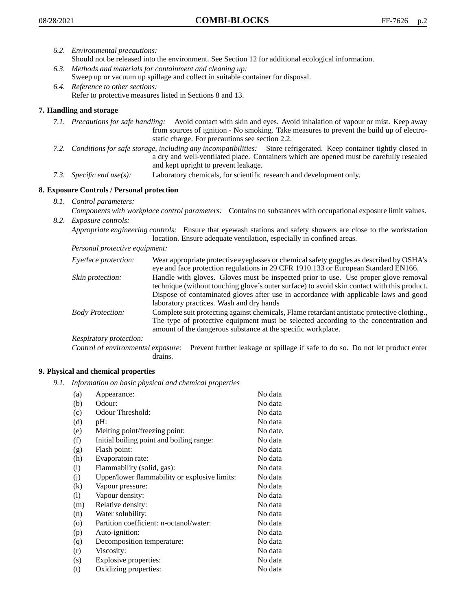- *6.2. Environmental precautions:*
	- Should not be released into the environment. See Section 12 for additional ecological information.
- *6.3. Methods and materials for containment and cleaning up:* Sweep up or vacuum up spillage and collect in suitable container for disposal.
- *6.4. Reference to other sections:* Refer to protective measures listed in Sections 8 and 13.

# **7. Handling and storage**

- *7.1. Precautions for safe handling:* Avoid contact with skin and eyes. Avoid inhalation of vapour or mist. Keep away from sources of ignition - No smoking. Take measures to prevent the build up of electrostatic charge. For precautions see section 2.2.
- *7.2. Conditions for safe storage, including any incompatibilities:* Store refrigerated. Keep container tightly closed in a dry and well-ventilated place. Containers which are opened must be carefully resealed and kept upright to prevent leakage.
- *7.3. Specific end use(s):* Laboratory chemicals, for scientific research and development only.

## **8. Exposure Controls / Personal protection**

*8.1. Control parameters:*

*Components with workplace control parameters:* Contains no substances with occupational exposure limit values. *8.2. Exposure controls:*

*Appropriate engineering controls:* Ensure that eyewash stations and safety showers are close to the workstation location. Ensure adequate ventilation, especially in confined areas.

*Personal protective equipment:*

| Eye/face protection:    | Wear appropriate protective eyeglasses or chemical safety goggles as described by OSHA's<br>eye and face protection regulations in 29 CFR 1910.133 or European Standard EN166.                                                                                                                                         |
|-------------------------|------------------------------------------------------------------------------------------------------------------------------------------------------------------------------------------------------------------------------------------------------------------------------------------------------------------------|
| Skin protection:        | Handle with gloves. Gloves must be inspected prior to use. Use proper glove removal<br>technique (without touching glove's outer surface) to avoid skin contact with this product.<br>Dispose of contaminated gloves after use in accordance with applicable laws and good<br>laboratory practices. Wash and dry hands |
| <b>Body Protection:</b> | Complete suit protecting against chemicals, Flame retardant antistatic protective clothing.,<br>The type of protective equipment must be selected according to the concentration and<br>amount of the dangerous substance at the specific workplace.                                                                   |
| Respiratory protection: |                                                                                                                                                                                                                                                                                                                        |

Control of environmental exposure: Prevent further leakage or spillage if safe to do so. Do not let product enter drains.

## **9. Physical and chemical properties**

*9.1. Information on basic physical and chemical properties*

| (a)                          | Appearance:                                   | No data  |
|------------------------------|-----------------------------------------------|----------|
| (b)                          | Odour:                                        | No data  |
| (c)                          | Odour Threshold:                              | No data  |
| (d)                          | pH:                                           | No data  |
| (e)                          | Melting point/freezing point:                 | No date. |
| (f)                          | Initial boiling point and boiling range:      | No data  |
| (g)                          | Flash point:                                  | No data  |
| (h)                          | Evaporatoin rate:                             | No data  |
| (i)                          | Flammability (solid, gas):                    | No data  |
| (j)                          | Upper/lower flammability or explosive limits: | No data  |
| $\rm(k)$                     | Vapour pressure:                              | No data  |
| $\left( \frac{1}{2} \right)$ | Vapour density:                               | No data  |
| (m)                          | Relative density:                             | No data  |
| (n)                          | Water solubility:                             | No data  |
| $\circ$                      | Partition coefficient: n-octanol/water:       | No data  |
| (p)                          | Auto-ignition:                                | No data  |
| (q)                          | Decomposition temperature:                    | No data  |
| (r)                          | Viscosity:                                    | No data  |
| (s)                          | Explosive properties:                         | No data  |
| (t)                          | Oxidizing properties:                         | No data  |